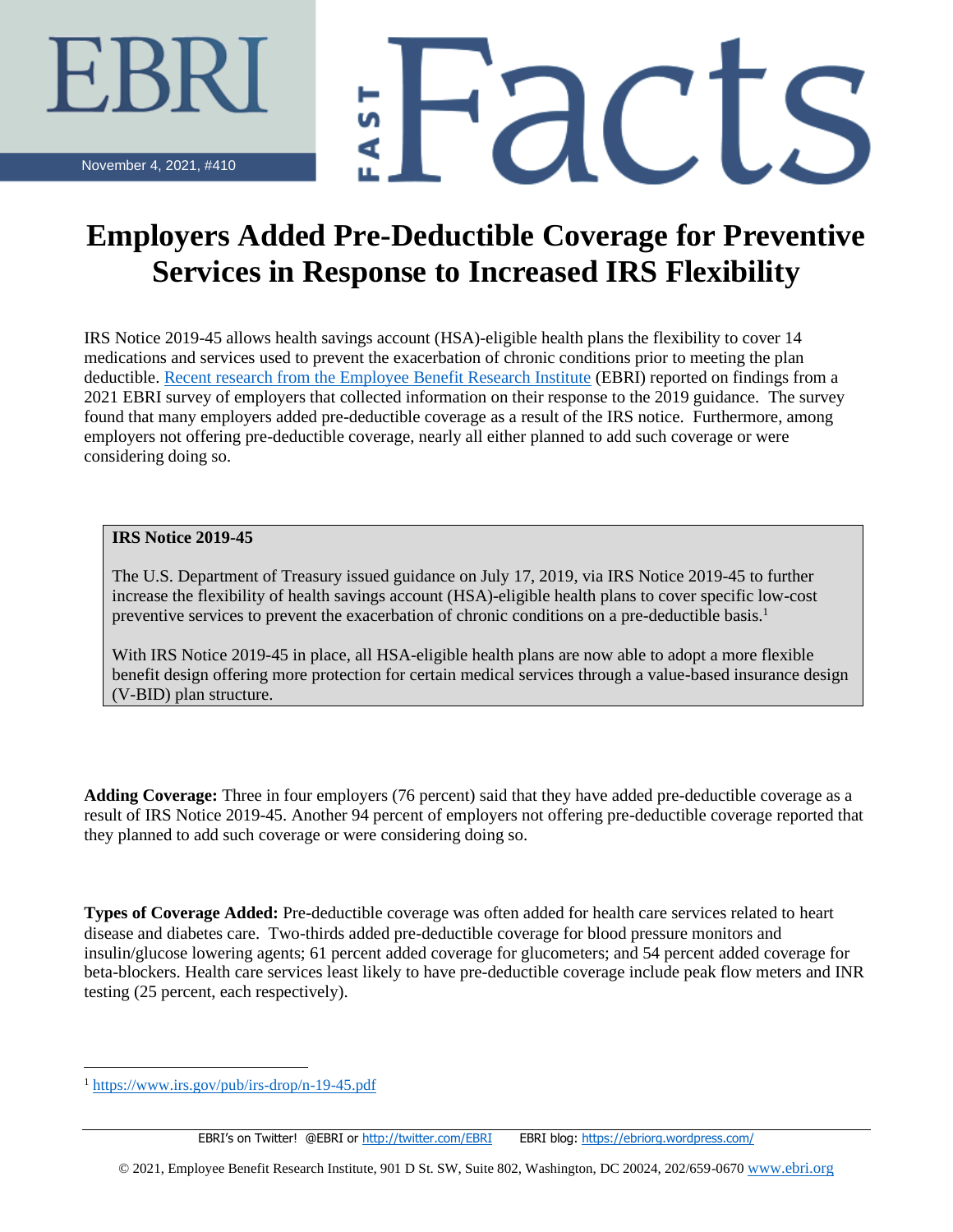'dCL

November 4, 2021, #410

## **Employers Added Pre-Deductible Coverage for Preventive Services in Response to Increased IRS Flexibility**

IRS Notice 2019-45 allows health savings account (HSA)-eligible health plans the flexibility to cover 14 medications and services used to prevent the exacerbation of chronic conditions prior to meeting the plan deductible. [Recent research from the Employee Benefit Research Institute](https://www.ebri.org/publications/research-publications/issue-briefs/content/employer-uptake-of-pre-deductible-coverage-for-preventive-services-in-hsa-eligible-health-plans) (EBRI) reported on findings from a 2021 EBRI survey of employers that collected information on their response to the 2019 guidance. The survey found that many employers added pre-deductible coverage as a result of the IRS notice. Furthermore, among employers not offering pre-deductible coverage, nearly all either planned to add such coverage or were considering doing so.

## **IRS Notice 2019-45**

The U.S. Department of Treasury issued guidance on July 17, 2019, via IRS Notice 2019-45 to further increase the flexibility of health savings account (HSA)-eligible health plans to cover specific low-cost preventive services to prevent the exacerbation of chronic conditions on a pre-deductible basis.<sup>1</sup>

With IRS Notice 2019-45 in place, all HSA-eligible health plans are now able to adopt a more flexible benefit design offering more protection for certain medical services through a value-based insurance design (V-BID) plan structure.

**Adding Coverage:** Three in four employers (76 percent) said that they have added pre-deductible coverage as a result of IRS Notice 2019-45. Another 94 percent of employers not offering pre-deductible coverage reported that they planned to add such coverage or were considering doing so.

**Types of Coverage Added:** Pre-deductible coverage was often added for health care services related to heart disease and diabetes care. Two-thirds added pre-deductible coverage for blood pressure monitors and insulin/glucose lowering agents; 61 percent added coverage for glucometers; and 54 percent added coverage for beta-blockers. Health care services least likely to have pre-deductible coverage include peak flow meters and INR testing (25 percent, each respectively).

© 2021, Employee Benefit Research Institute, 901 D St. SW, Suite 802, Washington, DC 20024, 202/659-0670 [www.ebri.org](http://www.ebri.org/)

<https://www.irs.gov/pub/irs-drop/n-19-45.pdf>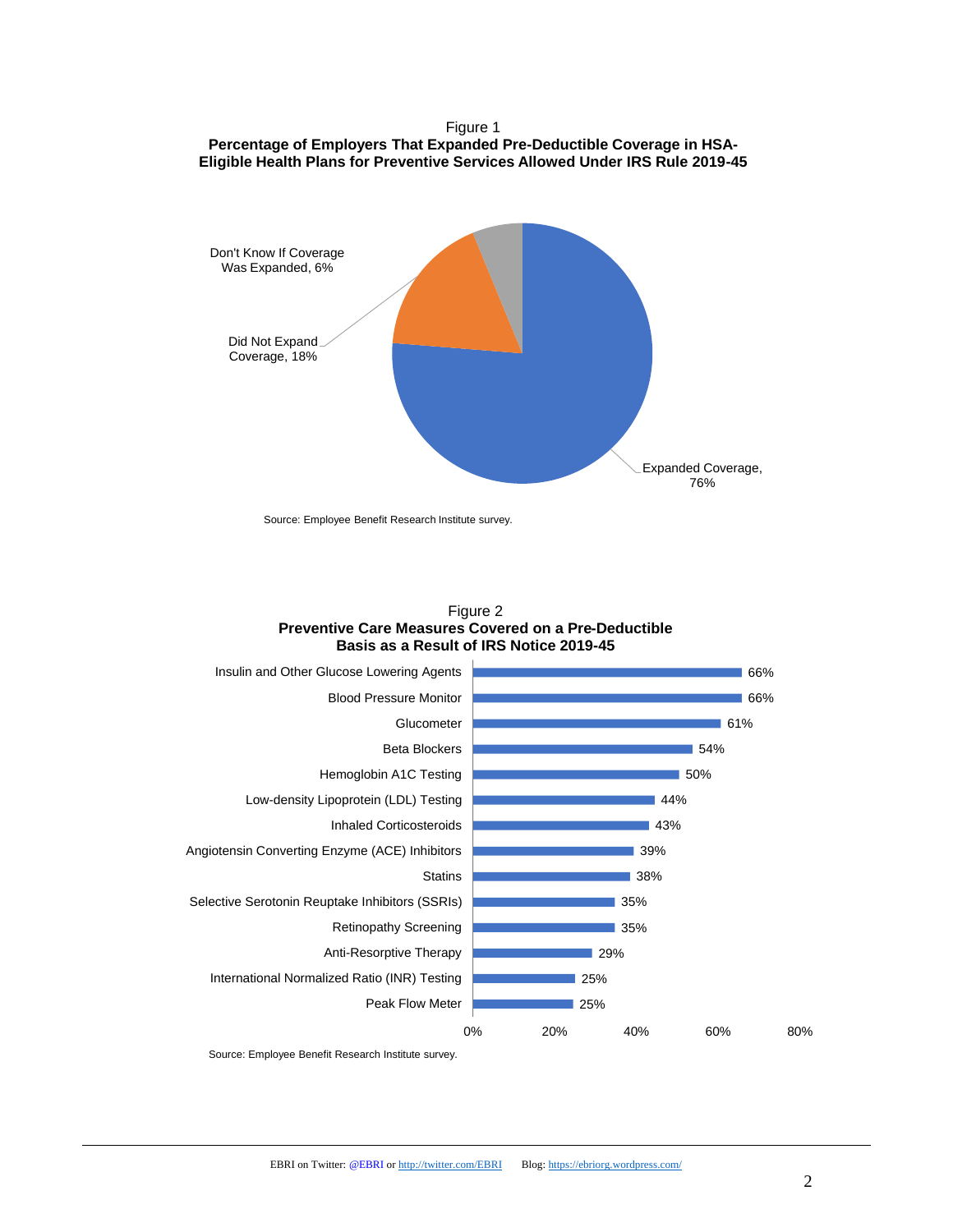Figure 1 **Percentage of Employers That Expanded Pre-Deductible Coverage in HSA-Eligible Health Plans for Preventive Services Allowed Under IRS Rule 2019-45**



Source: Employee Benefit Research Institute survey.





Source: Employee Benefit Research Institute survey.